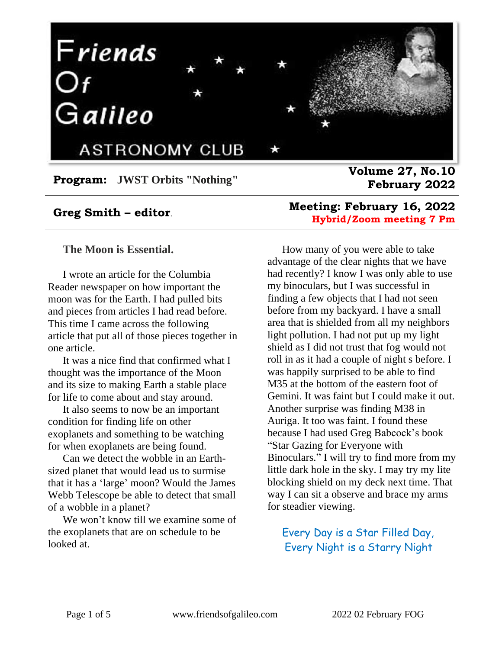# Friends<br>Of<br>Galileo



**ASTRONOMY CLUB** 

**Program: JWST Orbits "Nothing"**

#### **Greg Smith – editor**.

#### **The Moon is Essential.**

I wrote an article for the Columbia Reader newspaper on how important the moon was for the Earth. I had pulled bits and pieces from articles I had read before. This time I came across the following article that put all of those pieces together in one article.

It was a nice find that confirmed what I thought was the importance of the Moon and its size to making Earth a stable place for life to come about and stay around.

It also seems to now be an important condition for finding life on other exoplanets and something to be watching for when exoplanets are being found.

Can we detect the wobble in an Earthsized planet that would lead us to surmise that it has a 'large' moon? Would the James Webb Telescope be able to detect that small of a wobble in a planet?

We won't know till we examine some of the exoplanets that are on schedule to be looked at.

**Volume 27, No.10 February 2022**

#### **Meeting: February 16, 2022 Hybrid/Zoom meeting 7 Pm**

How many of you were able to take advantage of the clear nights that we have had recently? I know I was only able to use my binoculars, but I was successful in finding a few objects that I had not seen before from my backyard. I have a small area that is shielded from all my neighbors light pollution. I had not put up my light shield as I did not trust that fog would not roll in as it had a couple of night s before. I was happily surprised to be able to find M35 at the bottom of the eastern foot of Gemini. It was faint but I could make it out. Another surprise was finding M38 in Auriga. It too was faint. I found these because I had used Greg Babcock's book "Star Gazing for Everyone with Binoculars." I will try to find more from my little dark hole in the sky. I may try my lite blocking shield on my deck next time. That way I can sit a observe and brace my arms for steadier viewing.

#### Every Day is a Star Filled Day, Every Night is a Starry Night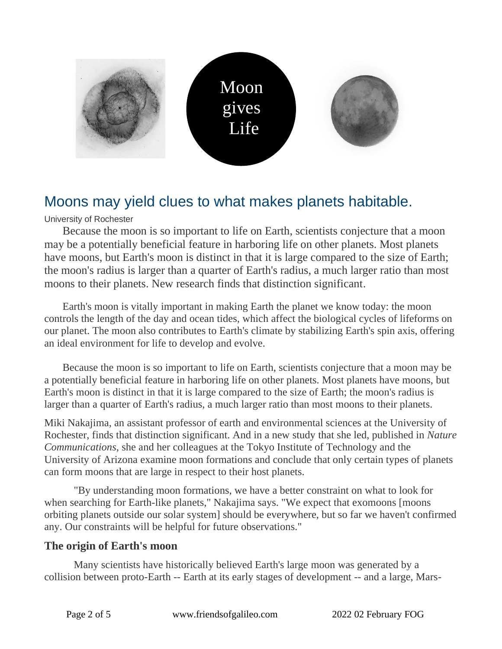

# Moons may yield clues to what makes planets habitable.

University of Rochester

Because the moon is so important to life on Earth, scientists conjecture that a moon may be a potentially beneficial feature in harboring life on other planets. Most planets have moons, but Earth's moon is distinct in that it is large compared to the size of Earth; the moon's radius is larger than a quarter of Earth's radius, a much larger ratio than most moons to their planets. New research finds that distinction significant.

Earth's moon is vitally important in making Earth the planet we know today: the moon controls the length of the day and ocean tides, which affect the biological cycles of lifeforms on our planet. The moon also contributes to Earth's climate by stabilizing Earth's spin axis, offering an ideal environment for life to develop and evolve.

Because the moon is so important to life on Earth, scientists conjecture that a moon may be a potentially beneficial feature in harboring life on other planets. Most planets have moons, but Earth's moon is distinct in that it is large compared to the size of Earth; the moon's radius is larger than a quarter of Earth's radius, a much larger ratio than most moons to their planets.

Miki Nakajima, an assistant professor of earth and environmental sciences at the University of Rochester, finds that distinction significant. And in a new study that she led, published in *Nature Communications*, she and her colleagues at the Tokyo Institute of Technology and the University of Arizona examine moon formations and conclude that only certain types of planets can form moons that are large in respect to their host planets.

"By understanding moon formations, we have a better constraint on what to look for when searching for Earth-like planets," Nakajima says. "We expect that exomoons [moons orbiting planets outside our solar system] should be everywhere, but so far we haven't confirmed any. Our constraints will be helpful for future observations."

#### **The origin of Earth's moon**

Many scientists have historically believed Earth's large moon was generated by a collision between proto-Earth -- Earth at its early stages of development -- and a large, Mars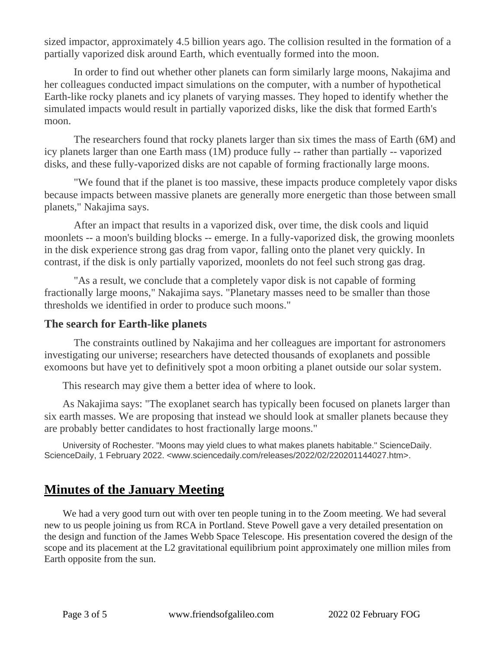sized impactor, approximately 4.5 billion years ago. The collision resulted in the formation of a partially vaporized disk around Earth, which eventually formed into the moon.

In order to find out whether other planets can form similarly large moons, Nakajima and her colleagues conducted impact simulations on the computer, with a number of hypothetical Earth-like rocky planets and icy planets of varying masses. They hoped to identify whether the simulated impacts would result in partially vaporized disks, like the disk that formed Earth's moon.

The researchers found that rocky planets larger than six times the mass of Earth (6M) and icy planets larger than one Earth mass (1M) produce fully -- rather than partially -- vaporized disks, and these fully-vaporized disks are not capable of forming fractionally large moons.

"We found that if the planet is too massive, these impacts produce completely vapor disks because impacts between massive planets are generally more energetic than those between small planets," Nakajima says.

After an impact that results in a vaporized disk, over time, the disk cools and liquid moonlets -- a moon's building blocks -- emerge. In a fully-vaporized disk, the growing moonlets in the disk experience strong gas drag from vapor, falling onto the planet very quickly. In contrast, if the disk is only partially vaporized, moonlets do not feel such strong gas drag.

"As a result, we conclude that a completely vapor disk is not capable of forming fractionally large moons," Nakajima says. "Planetary masses need to be smaller than those thresholds we identified in order to produce such moons."

#### **The search for Earth-like planets**

The constraints outlined by Nakajima and her colleagues are important for astronomers investigating our universe; researchers have detected thousands of exoplanets and possible exomoons but have yet to definitively spot a moon orbiting a planet outside our solar system.

This research may give them a better idea of where to look.

As Nakajima says: "The exoplanet search has typically been focused on planets larger than six earth masses. We are proposing that instead we should look at smaller planets because they are probably better candidates to host fractionally large moons."

University of Rochester. "Moons may yield clues to what makes planets habitable." ScienceDaily. ScienceDaily, 1 February 2022. <www.sciencedaily.com/releases/2022/02/220201144027.htm>.

# **Minutes of the January Meeting**

We had a very good turn out with over ten people tuning in to the Zoom meeting. We had several new to us people joining us from RCA in Portland. Steve Powell gave a very detailed presentation on the design and function of the James Webb Space Telescope. His presentation covered the design of the scope and its placement at the L2 gravitational equilibrium point approximately one million miles from Earth opposite from the sun.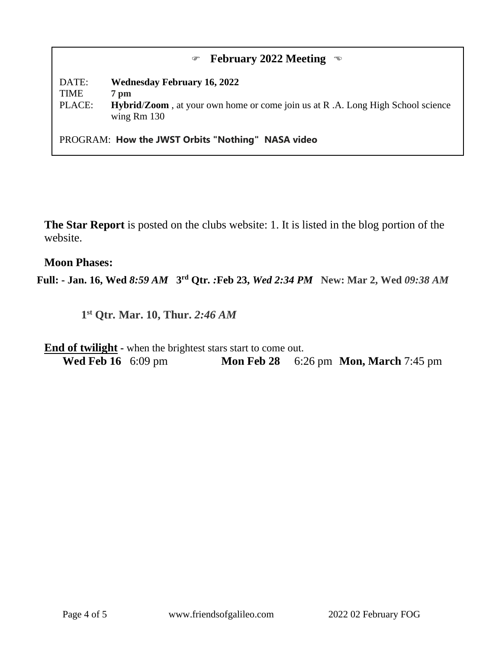#### **February 2022 Meeting**

DATE: **Wednesday February 16, 2022** TIME **7 pm** PLACE: **Hybrid**/**Zoom** , at your own home or come join us at R .A. Long High School science wing Rm 130

PROGRAM: **How the JWST Orbits "Nothing" NASA video**

**The Star Report** is posted on the clubs website: 1. It is listed in the blog portion of the website.

#### **Moon Phases:**

**Full: - Jan. 16, Wed** *8:59 AM* **3 rd Qtr***. :***Feb 23,** *Wed 2:34 PM* **New: Mar 2, Wed** *09:38 AM*

**1 st Qtr***.* **Mar. 10, Thur.** *2:46 AM*

**End of twilight** - when the brightest stars start to come out. **Wed Feb 16** 6:09 pm **Mon Feb 28** 6:26 pm **Mon, March** 7:45 pm